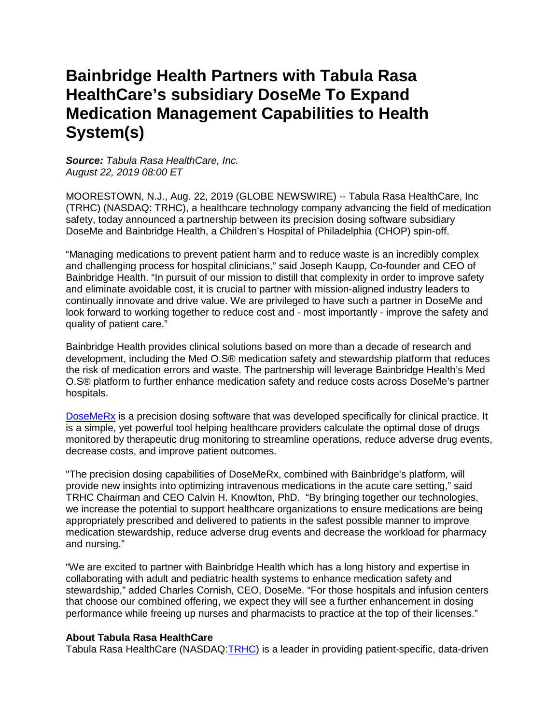# **Bainbridge Health Partners with Tabula Rasa HealthCare's subsidiary DoseMe To Expand Medication Management Capabilities to Health System(s)**

*Source: Tabula Rasa HealthCare, Inc. August 22, 2019 08:00 ET*

MOORESTOWN, N.J., Aug. 22, 2019 (GLOBE NEWSWIRE) -- Tabula Rasa HealthCare, Inc (TRHC) (NASDAQ: TRHC), a healthcare technology company advancing the field of medication safety, today announced a partnership between its precision dosing software subsidiary DoseMe and Bainbridge Health, a Children's Hospital of Philadelphia (CHOP) spin-off.

"Managing medications to prevent patient harm and to reduce waste is an incredibly complex and challenging process for hospital clinicians," said Joseph Kaupp, Co-founder and CEO of Bainbridge Health. "In pursuit of our mission to distill that complexity in order to improve safety and eliminate avoidable cost, it is crucial to partner with mission-aligned industry leaders to continually innovate and drive value. We are privileged to have such a partner in DoseMe and look forward to working together to reduce cost and - most importantly - improve the safety and quality of patient care."

Bainbridge Health provides clinical solutions based on more than a decade of research and development, including the Med O.S® medication safety and stewardship platform that reduces the risk of medication errors and waste. The partnership will leverage Bainbridge Health's Med O.S® platform to further enhance medication safety and reduce costs across DoseMe's partner hospitals.

[DoseMeRx](https://www.globenewswire.com/Tracker?data=6fU_zWK6_Tpy0zB-t_iowYaeBrovl4f1pxgYR9hP4UfpZfXL0az1wXmTC72s3ELhbu1lvWYnlTGYf4g5iMvyKLtRR3dMB22OF10uCOvjHeFIxbN84ttFIfbaDefaARXIO_2U9EOfjrrj7qpvSDYInQ==) is a precision dosing software that was developed specifically for clinical practice. It is a simple, yet powerful tool helping healthcare providers calculate the optimal dose of drugs monitored by therapeutic drug monitoring to streamline operations, reduce adverse drug events, decrease costs, and improve patient outcomes.

"The precision dosing capabilities of DoseMeRx, combined with Bainbridge's platform, will provide new insights into optimizing intravenous medications in the acute care setting," said TRHC Chairman and CEO Calvin H. Knowlton, PhD. "By bringing together our technologies, we increase the potential to support healthcare organizations to ensure medications are being appropriately prescribed and delivered to patients in the safest possible manner to improve medication stewardship, reduce adverse drug events and decrease the workload for pharmacy and nursing."

"We are excited to partner with Bainbridge Health which has a long history and expertise in collaborating with adult and pediatric health systems to enhance medication safety and stewardship," added Charles Cornish, CEO, DoseMe. "For those hospitals and infusion centers that choose our combined offering, we expect they will see a further enhancement in dosing performance while freeing up nurses and pharmacists to practice at the top of their licenses."

#### **About Tabula Rasa HealthCare**

Tabula Rasa HealthCare (NASDAQ: TRHC) is a leader in providing patient-specific, data-driven